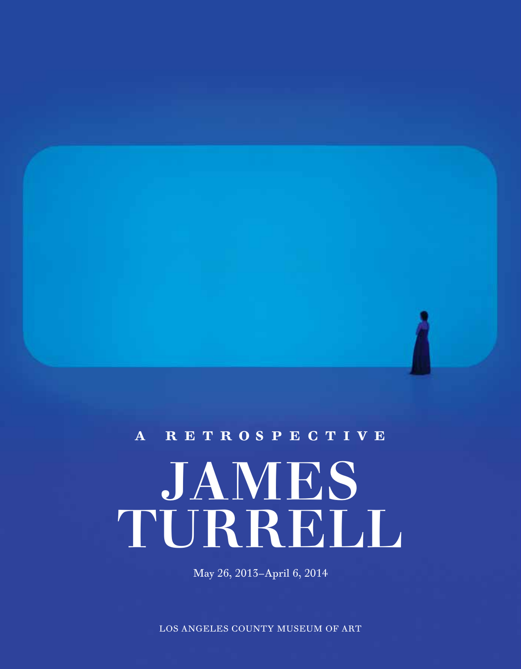# **james**  $TL$ **RRELL A** RETROSPECTIVE

May 26, 2013–April 6, 2014

LOS ANGELES COUNTY MUSEUM OF ART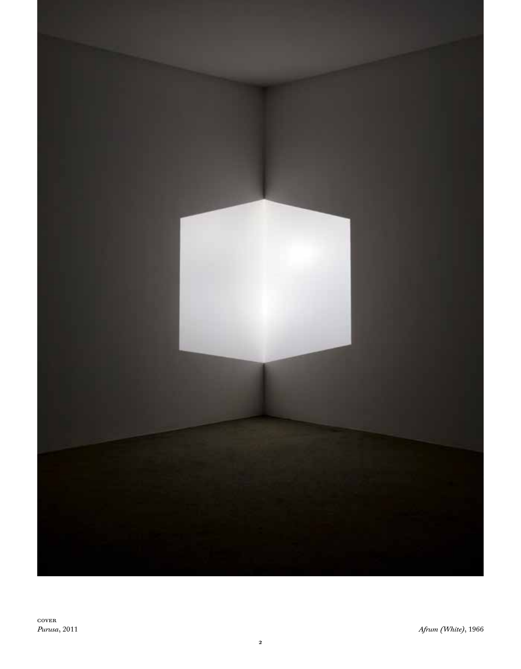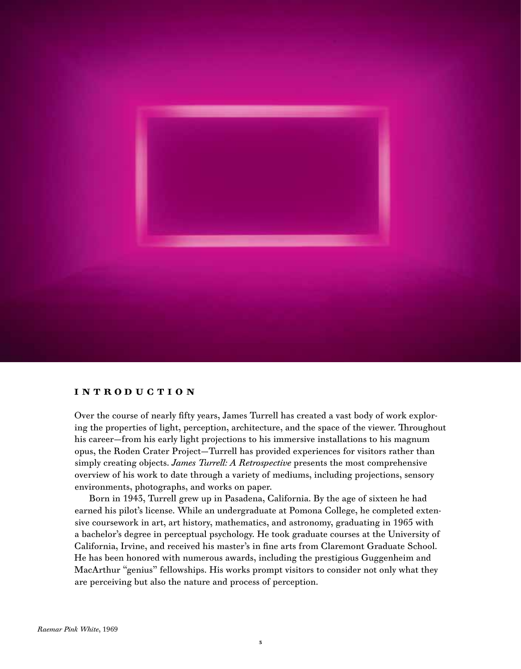

## **I ntroduction**

Over the course of nearly fifty years, James Turrell has created a vast body of work exploring the properties of light, perception, architecture, and the space of the viewer. Throughout his career—from his early light projections to his immersive installations to his magnum opus, the Roden Crater Project—Turrell has provided experiences for visitors rather than simply creating objects. *James Turrell: A Retrospective* presents the most comprehensive overview of his work to date through a variety of mediums, including projections, sensory environments, photographs, and works on paper.

Born in 1943, Turrell grew up in Pasadena, California. By the age of sixteen he had earned his pilot's license. While an undergraduate at Pomona College, he completed extensive coursework in art, art history, mathematics, and astronomy, graduating in 1965 with a bachelor's degree in perceptual psychology. He took graduate courses at the University of California, Irvine, and received his master's in fine arts from Claremont Graduate School. He has been honored with numerous awards, including the prestigious Guggenheim and MacArthur "genius" fellowships. His works prompt visitors to consider not only what they are perceiving but also the nature and process of perception.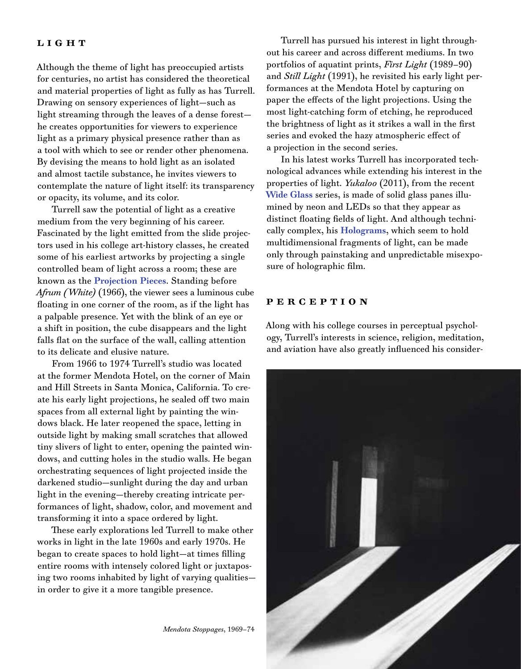## LIGHT

Although the theme of light has preoccupied artists for centuries, no artist has considered the theoretical and material properties of light as fully as has Turrell. Drawing on sensory experiences of light—such as light streaming through the leaves of a dense forest he creates opportunities for viewers to experience light as a primary physical presence rather than as a tool with which to see or render other phenomena. By devising the means to hold light as an isolated and almost tactile substance, he invites viewers to contemplate the nature of light itself: its transparency or opacity, its volume, and its color.

Turrell saw the potential of light as a creative medium from the very beginning of his career. Fascinated by the light emitted from the slide projectors used in his college art-history classes, he created some of his earliest artworks by projecting a single controlled beam of light across a room; these are known as the **Projection Pieces**. Standing before *Afrum (White)* (1966), the viewer sees a luminous cube floating in one corner of the room, as if the light has a palpable presence. Yet with the blink of an eye or a shift in position, the cube disappears and the light falls flat on the surface of the wall, calling attention to its delicate and elusive nature.

From 1966 to 1974 Turrell's studio was located at the former Mendota Hotel, on the corner of Main and Hill Streets in Santa Monica, California. To create his early light projections, he sealed off two main spaces from all external light by painting the windows black. He later reopened the space, letting in outside light by making small scratches that allowed tiny slivers of light to enter, opening the painted windows, and cutting holes in the studio walls. He began orchestrating sequences of light projected inside the darkened studio—sunlight during the day and urban light in the evening—thereby creating intricate performances of light, shadow, color, and movement and transforming it into a space ordered by light.

These early explorations led Turrell to make other works in light in the late 1960s and early 1970s. He began to create spaces to hold light—at times filling entire rooms with intensely colored light or juxtaposing two rooms inhabited by light of varying qualities in order to give it a more tangible presence.

Turrell has pursued his interest in light throughout his career and across different mediums. In two portfolios of aquatint prints, *First Light* (1989–90) and *Still Light* (1991), he revisited his early light performances at the Mendota Hotel by capturing on paper the effects of the light projections. Using the most light-catching form of etching, he reproduced the brightness of light as it strikes a wall in the first series and evoked the hazy atmospheric effect of a projection in the second series.

In his latest works Turrell has incorporated technological advances while extending his interest in the properties of light. *Yukaloo* (2011), from the recent **Wide Glass** series, is made of solid glass panes illumined by neon and LEDs so that they appear as distinct floating fields of light. And although technically complex, his **Holograms**, which seem to hold multidimensional fragments of light, can be made only through painstaking and unpredictable misexposure of holographic film.

## **P erception**

Along with his college courses in perceptual psychology, Turrell's interests in science, religion, meditation, and aviation have also greatly influenced his consider-

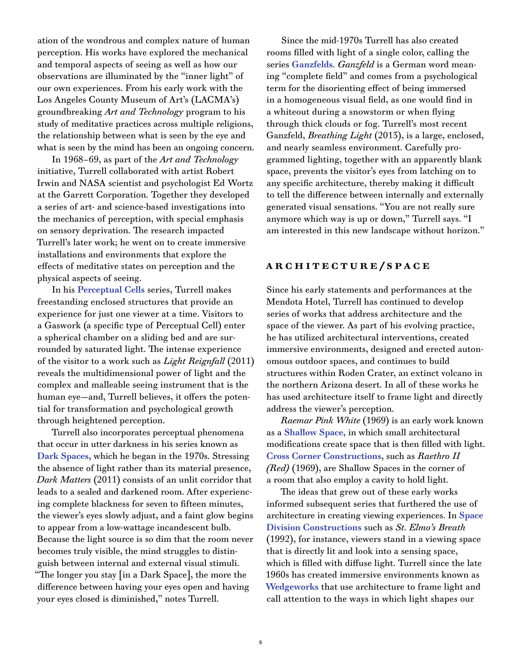ation of the wondrous and complex nature of human perception. His works have explored the mechanical and temporal aspects of seeing as well as how our observations are illuminated by the "inner light" of our own experiences. From his early work with the Los Angeles County Museum of Art's (LACMA's) groundbreaking *Art and Technology* program to his study of meditative practices across multiple religions, the relationship between what is seen by the eye and what is seen by the mind has been an ongoing concern.

In 1968–69, as part of the *Art and Technology* initiative, Turrell collaborated with artist Robert Irwin and NASA scientist and psychologist Ed Wortz at the Garrett Corporation. Together they developed a series of art- and science-based investigations into the mechanics of perception, with special emphasis on sensory deprivation. The research impacted Turrell's later work; he went on to create immersive installations and environments that explore the effects of meditative states on perception and the physical aspects of seeing.

In his **Perceptual Cells** series, Turrell makes freestanding enclosed structures that provide an experience for just one viewer at a time. Visitors to a Gaswork (a specific type of Perceptual Cell) enter a spherical chamber on a sliding bed and are surrounded by saturated light. The intense experience of the visitor to a work such as *Light Reignfall* (2011) reveals the multidimensional power of light and the complex and malleable seeing instrument that is the human eye—and, Turrell believes, it offers the potential for transformation and psychological growth through heightened perception.

Turrell also incorporates perceptual phenomena that occur in utter darkness in his series known as **Dark Spaces**, which he began in the 1970s. Stressing the absence of light rather than its material presence, *Dark Matters* (2011) consists of an unlit corridor that leads to a sealed and darkened room. After experiencing complete blackness for seven to fifteen minutes, the viewer's eyes slowly adjust, and a faint glow begins to appear from a low-wattage incandescent bulb. Because the light source is so dim that the room never becomes truly visible, the mind struggles to distinguish between internal and external visual stimuli. "The longer you stay [in a Dark Space], the more the difference between having your eyes open and having your eyes closed is diminished," notes Turrell.

Since the mid-1970s Turrell has also created rooms filled with light of a single color, calling the series **Ganzfelds**. *Ganzfeld* is a German word meaning "complete field" and comes from a psychological term for the disorienting effect of being immersed in a homogeneous visual field, as one would find in a whiteout during a snowstorm or when flying through thick clouds or fog. Turrell's most recent Ganzfeld, *Breathing Light* (2013), is a large, enclosed, and nearly seamless environment. Carefully programmed lighting, together with an apparently blank space, prevents the visitor's eyes from latching on to any specific architecture, thereby making it difficult to tell the difference between internally and externally generated visual sensations. "You are not really sure anymore which way is up or down," Turrell says. "I am interested in this new landscape without horizon."

## **A rchitecture/ S pace**

Since his early statements and performances at the Mendota Hotel, Turrell has continued to develop series of works that address architecture and the space of the viewer. As part of his evolving practice, he has utilized architectural interventions, created immersive environments, designed and erected autonomous outdoor spaces, and continues to build structures within Roden Crater, an extinct volcano in the northern Arizona desert. In all of these works he has used architecture itself to frame light and directly address the viewer's perception.

*Raemar Pink White* (1969) is an early work known as a **Shallow Space**, in which small architectural modifications create space that is then filled with light. **Cross Corner Constructions**, such as *Raethro II (Red)* (1969), are Shallow Spaces in the corner of a room that also employ a cavity to hold light.

The ideas that grew out of these early works informed subsequent series that furthered the use of architecture in creating viewing experiences. In **Space Division Constructions** such as *St. Elmo's Breath* (1992), for instance, viewers stand in a viewing space that is directly lit and look into a sensing space, which is filled with diffuse light. Turrell since the late 1960s has created immersive environments known as **Wedgeworks** that use architecture to frame light and call attention to the ways in which light shapes our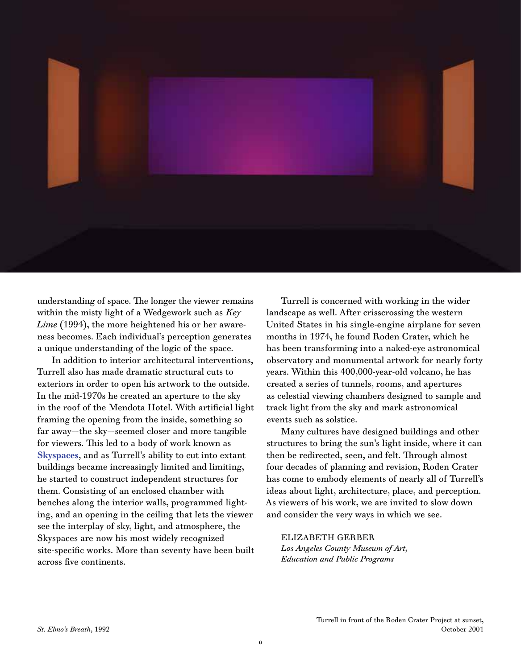

understanding of space. The longer the viewer remains within the misty light of a Wedgework such as *Key Lime* (1994), the more heightened his or her awareness becomes. Each individual's perception generates a unique understanding of the logic of the space.

In addition to interior architectural interventions, Turrell also has made dramatic structural cuts to exteriors in order to open his artwork to the outside. In the mid-1970s he created an aperture to the sky in the roof of the Mendota Hotel. With artificial light framing the opening from the inside, something so far away—the sky—seemed closer and more tangible for viewers. This led to a body of work known as **Skyspaces**, and as Turrell's ability to cut into extant buildings became increasingly limited and limiting, he started to construct independent structures for them. Consisting of an enclosed chamber with benches along the interior walls, programmed lighting, and an opening in the ceiling that lets the viewer see the interplay of sky, light, and atmosphere, the Skyspaces are now his most widely recognized site-specific works. More than seventy have been built across five continents.

Turrell is concerned with working in the wider landscape as well. After crisscrossing the western United States in his single-engine airplane for seven months in 1974, he found Roden Crater, which he has been transforming into a naked-eye astronomical observatory and monumental artwork for nearly forty years. Within this 400,000-year-old volcano, he has created a series of tunnels, rooms, and apertures as celestial viewing chambers designed to sample and track light from the sky and mark astronomical events such as solstice.

Many cultures have designed buildings and other structures to bring the sun's light inside, where it can then be redirected, seen, and felt. Through almost four decades of planning and revision, Roden Crater has come to embody elements of nearly all of Turrell's ideas about light, architecture, place, and perception. As viewers of his work, we are invited to slow down and consider the very ways in which we see.

Elizabeth Gerber *Los Angeles County Museum of Art, Education and Public Programs*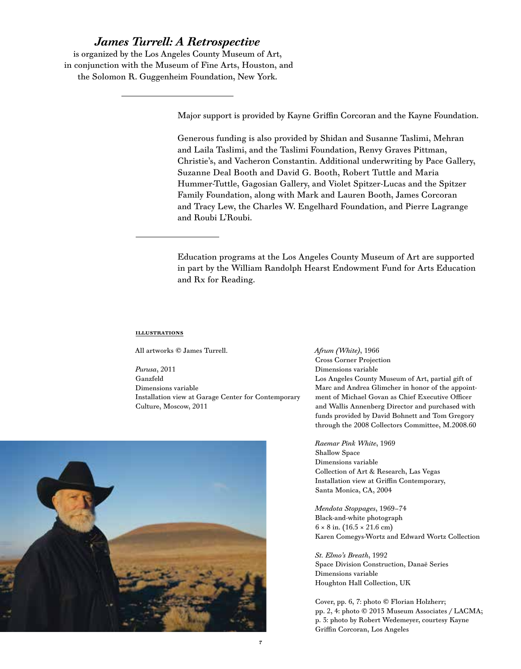## *James Turrell: A Retrospective*

is organized by the Los Angeles County Museum of Art, in conjunction with the Museum of Fine Arts, Houston, and the Solomon R. Guggenheim Foundation, New York.

Major support is provided by Kayne Griffin Corcoran and the Kayne Foundation.

Generous funding is also provided by Shidan and Susanne Taslimi, Mehran and Laila Taslimi, and the Taslimi Foundation, Renvy Graves Pittman, Christie's, and Vacheron Constantin. Additional underwriting by Pace Gallery, Suzanne Deal Booth and David G. Booth, Robert Tuttle and Maria Hummer-Tuttle, Gagosian Gallery, and Violet Spitzer-Lucas and the Spitzer Family Foundation, along with Mark and Lauren Booth, James Corcoran and Tracy Lew, the Charles W. Engelhard Foundation, and Pierre Lagrange and Roubi L'Roubi.

Education programs at the Los Angeles County Museum of Art are supported in part by the William Randolph Hearst Endowment Fund for Arts Education and Rx for Reading.

#### **ILLUSTRATIONS**

All artworks © James Turrell.

*Purusa*, 2011 Ganzfeld Dimensions variable Installation view at Garage Center for Contemporary Culture, Moscow, 2011



*Afrum (White)*, 1966 Cross Corner Projection Dimensions variable Los Angeles County Museum of Art, partial gift of Marc and Andrea Glimcher in honor of the appointment of Michael Govan as Chief Executive Officer and Wallis Annenberg Director and purchased with funds provided by David Bohnett and Tom Gregory through the 2008 Collectors Committee, M.2008.60

*Raemar Pink White*, 1969 Shallow Space Dimensions variable Collection of Art & Research, Las Vegas Installation view at Griffin Contemporary, Santa Monica, CA, 2004

*Mendota Stoppages*, 1969–74 Black-and-white photograph  $6 \times 8$  in.  $(16.5 \times 21.6$  cm) Karen Comegys-Wortz and Edward Wortz Collection

*St. Elmo's Breath*, 1992 Space Division Construction, Danaë Series Dimensions variable Houghton Hall Collection, UK

Cover, pp. 6, 7: photo © Florian Holzherr; pp. 2, 4: photo © 2013 Museum Associates / LACMA; p. 3: photo by Robert Wedemeyer, courtesy Kayne Griffin Corcoran, Los Angeles